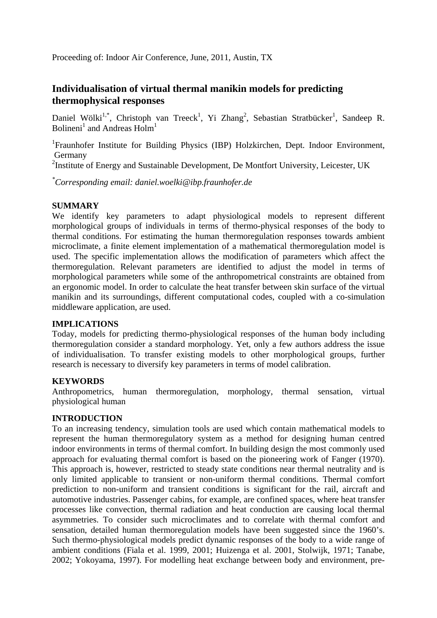# **Individualisation of virtual thermal manikin models for predicting thermophysical responses**

Daniel Wölki<sup>1,\*</sup>, Christoph van Treeck<sup>1</sup>, Yi Zhang<sup>2</sup>, Sebastian Stratbücker<sup>1</sup>, Sandeep R. Bolineni<sup>1</sup> and Andreas Holm<sup>1</sup>

<sup>1</sup>Fraunhofer Institute for Building Physics (IBP) Holzkirchen, Dept. Indoor Environment, Germany

<sup>2</sup>Institute of Energy and Sustainable Development, De Montfort University, Leicester, UK

*\* Corresponding email: daniel.woelki@ibp.fraunhofer.de*

# **SUMMARY**

We identify key parameters to adapt physiological models to represent different morphological groups of individuals in terms of thermo-physical responses of the body to thermal conditions. For estimating the human thermoregulation responses towards ambient microclimate, a finite element implementation of a mathematical thermoregulation model is used. The specific implementation allows the modification of parameters which affect the thermoregulation. Relevant parameters are identified to adjust the model in terms of morphological parameters while some of the anthropometrical constraints are obtained from an ergonomic model. In order to calculate the heat transfer between skin surface of the virtual manikin and its surroundings, different computational codes, coupled with a co-simulation middleware application, are used.

## **IMPLICATIONS**

Today, models for predicting thermo-physiological responses of the human body including thermoregulation consider a standard morphology. Yet, only a few authors address the issue of individualisation. To transfer existing models to other morphological groups, further research is necessary to diversify key parameters in terms of model calibration.

## **KEYWORDS**

Anthropometrics, human thermoregulation, morphology, thermal sensation, virtual physiological human

# **INTRODUCTION**

To an increasing tendency, simulation tools are used which contain mathematical models to represent the human thermoregulatory system as a method for designing human centred indoor environments in terms of thermal comfort. In building design the most commonly used approach for evaluating thermal comfort is based on the pioneering work of Fanger (1970). This approach is, however, restricted to steady state conditions near thermal neutrality and is only limited applicable to transient or non-uniform thermal conditions. Thermal comfort prediction to non-uniform and transient conditions is significant for the rail, aircraft and automotive industries. Passenger cabins, for example, are confined spaces, where heat transfer processes like convection, thermal radiation and heat conduction are causing local thermal asymmetries. To consider such microclimates and to correlate with thermal comfort and sensation, detailed human thermoregulation models have been suggested since the 1960's. Such thermo-physiological models predict dynamic responses of the body to a wide range of ambient conditions (Fiala et al. 1999, 2001; Huizenga et al. 2001, Stolwijk, 1971; Tanabe, 2002; Yokoyama, 1997). For modelling heat exchange between body and environment, pre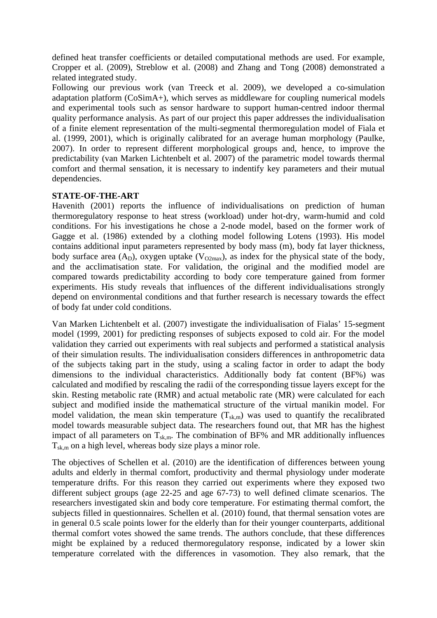defined heat transfer coefficients or detailed computational methods are used. For example, Cropper et al. (2009), Streblow et al. (2008) and Zhang and Tong (2008) demonstrated a related integrated study.

Following our previous work (van Treeck et al. 2009), we developed a co-simulation adaptation platform (CoSimA+), which serves as middleware for coupling numerical models and experimental tools such as sensor hardware to support human-centred indoor thermal quality performance analysis. As part of our project this paper addresses the individualisation of a finite element representation of the multi-segmental thermoregulation model of Fiala et al. (1999, 2001), which is originally calibrated for an average human morphology (Paulke, 2007). In order to represent different morphological groups and, hence, to improve the predictability (van Marken Lichtenbelt et al. 2007) of the parametric model towards thermal comfort and thermal sensation, it is necessary to indentify key parameters and their mutual dependencies.

## **STATE-OF-THE-ART**

Havenith (2001) reports the influence of individualisations on prediction of human thermoregulatory response to heat stress (workload) under hot-dry, warm-humid and cold conditions. For his investigations he chose a 2-node model, based on the former work of Gagge et al. (1986) extended by a clothing model following Lotens (1993). His model contains additional input parameters represented by body mass (m), body fat layer thickness, body surface area  $(A_D)$ , oxygen uptake  $(V_{O2max})$ , as index for the physical state of the body, and the acclimatisation state. For validation, the original and the modified model are compared towards predictability according to body core temperature gained from former experiments. His study reveals that influences of the different individualisations strongly depend on environmental conditions and that further research is necessary towards the effect of body fat under cold conditions.

Van Marken Lichtenbelt et al. (2007) investigate the individualisation of Fialas' 15-segment model (1999, 2001) for predicting responses of subjects exposed to cold air. For the model validation they carried out experiments with real subjects and performed a statistical analysis of their simulation results. The individualisation considers differences in anthropometric data of the subjects taking part in the study, using a scaling factor in order to adapt the body dimensions to the individual characteristics. Additionally body fat content (BF%) was calculated and modified by rescaling the radii of the corresponding tissue layers except for the skin. Resting metabolic rate (RMR) and actual metabolic rate (MR) were calculated for each subject and modified inside the mathematical structure of the virtual manikin model. For model validation, the mean skin temperature  $(T_{sk,m})$  was used to quantify the recalibrated model towards measurable subject data. The researchers found out, that MR has the highest impact of all parameters on  $T_{\text{sk,m}}$ . The combination of BF% and MR additionally influences  $T_{\text{sk,m}}$  on a high level, whereas body size plays a minor role.

The objectives of Schellen et al. (2010) are the identification of differences between young adults and elderly in thermal comfort, productivity and thermal physiology under moderate temperature drifts. For this reason they carried out experiments where they exposed two different subject groups (age 22-25 and age 67-73) to well defined climate scenarios. The researchers investigated skin and body core temperature. For estimating thermal comfort, the subjects filled in questionnaires. Schellen et al. (2010) found, that thermal sensation votes are in general 0.5 scale points lower for the elderly than for their younger counterparts, additional thermal comfort votes showed the same trends. The authors conclude, that these differences might be explained by a reduced thermoregulatory response, indicated by a lower skin temperature correlated with the differences in vasomotion. They also remark, that the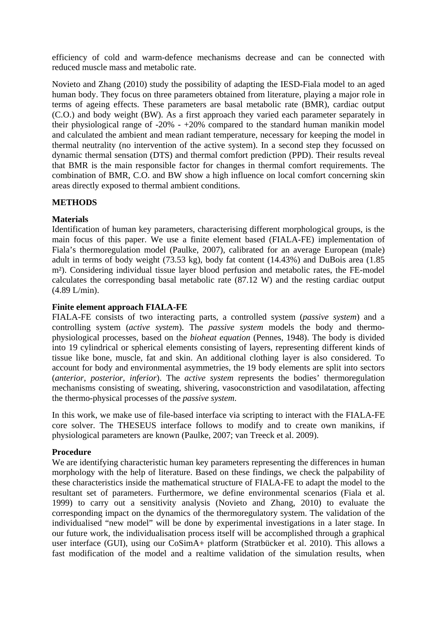efficiency of cold and warm-defence mechanisms decrease and can be connected with reduced muscle mass and metabolic rate.

Novieto and Zhang (2010) study the possibility of adapting the IESD-Fiala model to an aged human body. They focus on three parameters obtained from literature, playing a major role in terms of ageing effects. These parameters are basal metabolic rate (BMR), cardiac output (C.O.) and body weight (BW). As a first approach they varied each parameter separately in their physiological range of  $-20\% - +20\%$  compared to the standard human manikin model and calculated the ambient and mean radiant temperature, necessary for keeping the model in thermal neutrality (no intervention of the active system). In a second step they focussed on dynamic thermal sensation (DTS) and thermal comfort prediction (PPD). Their results reveal that BMR is the main responsible factor for changes in thermal comfort requirements. The combination of BMR, C.O. and BW show a high influence on local comfort concerning skin areas directly exposed to thermal ambient conditions.

## **METHODS**

## **Materials**

Identification of human key parameters, characterising different morphological groups, is the main focus of this paper. We use a finite element based (FIALA-FE) implementation of Fiala's thermoregulation model (Paulke, 2007), calibrated for an average European (male) adult in terms of body weight (73.53 kg), body fat content (14.43%) and DuBois area (1.85 m²). Considering individual tissue layer blood perfusion and metabolic rates, the FE-model calculates the corresponding basal metabolic rate (87.12 W) and the resting cardiac output (4.89 L/min).

## **Finite element approach FIALA-FE**

FIALA-FE consists of two interacting parts, a controlled system (*passive system*) and a controlling system (*active system*). The *passive system* models the body and thermophysiological processes, based on the *bioheat equation* (Pennes, 1948). The body is divided into 19 cylindrical or spherical elements consisting of layers, representing different kinds of tissue like bone, muscle, fat and skin. An additional clothing layer is also considered. To account for body and environmental asymmetries, the 19 body elements are split into sectors (*anterior*, *posterior*, *inferior*). The *active system* represents the bodies' thermoregulation mechanisms consisting of sweating, shivering, vasoconstriction and vasodilatation, affecting the thermo-physical processes of the *passive system*.

In this work, we make use of file-based interface via scripting to interact with the FIALA-FE core solver. The THESEUS interface follows to modify and to create own manikins, if physiological parameters are known (Paulke, 2007; van Treeck et al. 2009).

## **Procedure**

We are identifying characteristic human key parameters representing the differences in human morphology with the help of literature. Based on these findings, we check the palpability of these characteristics inside the mathematical structure of FIALA-FE to adapt the model to the resultant set of parameters. Furthermore, we define environmental scenarios (Fiala et al. 1999) to carry out a sensitivity analysis (Novieto and Zhang, 2010) to evaluate the corresponding impact on the dynamics of the thermoregulatory system. The validation of the individualised "new model" will be done by experimental investigations in a later stage. In our future work, the individualisation process itself will be accomplished through a graphical user interface (GUI), using our CoSimA+ platform (Stratbücker et al. 2010). This allows a fast modification of the model and a realtime validation of the simulation results, when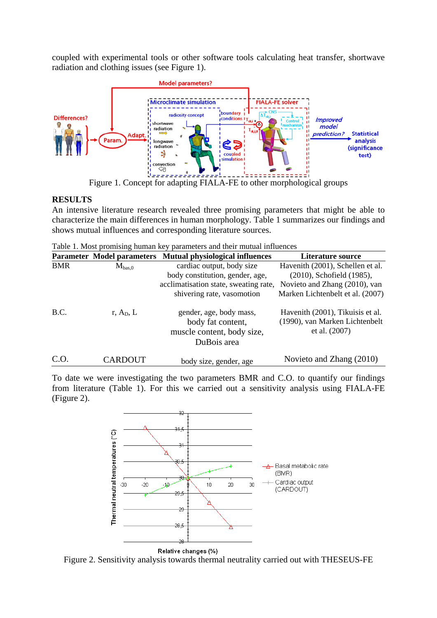coupled with experimental tools or other software tools calculating heat transfer, shortwave radiation and clothing issues (see Figure 1).



Figure 1. Concept for adapting FIALA-FE to other morphological groups

# **RESULTS**

An intensive literature research revealed three promising parameters that might be able to characterize the main differences in human morphology. Table 1 summarizes our findings and shows mutual influences and corresponding literature sources.

Table 1. Most promising human key parameters and their mutual influences

|            | <b>Parameter Model parameters</b> | <b>Mutual physiological influences</b>                                                    | <b>Literature source</b>                                                              |
|------------|-----------------------------------|-------------------------------------------------------------------------------------------|---------------------------------------------------------------------------------------|
| <b>BMR</b> | $M_{bas,0}$                       | cardiac output, body size                                                                 | Havenith (2001), Schellen et al.                                                      |
|            |                                   | body constitution, gender, age,                                                           | (2010), Schofield (1985),                                                             |
|            |                                   | acclimatisation state, sweating rate,                                                     | Novieto and Zhang (2010), van                                                         |
|            |                                   | shivering rate, vasomotion                                                                | Marken Lichtenbelt et al. (2007)                                                      |
| B.C.       | r, $A_D$ , L                      | gender, age, body mass,<br>body fat content,<br>muscle content, body size,<br>DuBois area | Havenith (2001), Tikuisis et al.<br>(1990), van Marken Lichtenbelt<br>et al. $(2007)$ |
| C.O.       | CARDOUT                           | body size, gender, age                                                                    | Novieto and Zhang (2010)                                                              |

To date we were investigating the two parameters BMR and C.O. to quantify our findings from literature (Table 1). For this we carried out a sensitivity analysis using FIALA-FE (Figure 2).



Figure 2. Sensitivity analysis towards thermal neutrality carried out with THESEUS-FE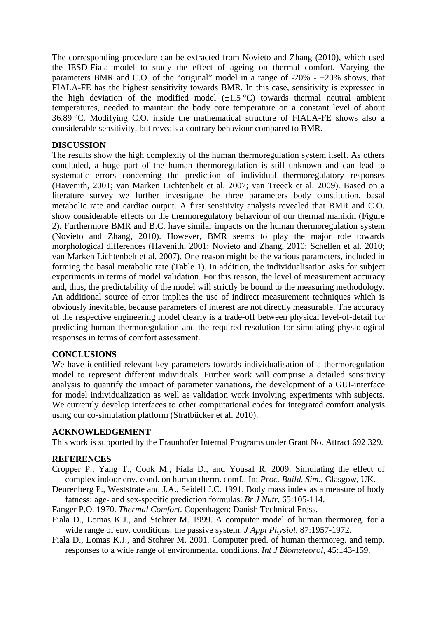The corresponding procedure can be extracted from Novieto and Zhang (2010), which used the IESD-Fiala model to study the effect of ageing on thermal comfort. Varying the parameters BMR and C.O. of the "original" model in a range of -20% - +20% shows, that FIALA-FE has the highest sensitivity towards BMR. In this case, sensitivity is expressed in the high deviation of the modified model  $(\pm 1.5 \degree C)$  towards thermal neutral ambient temperatures, needed to maintain the body core temperature on a constant level of about 36.89 °C. Modifying C.O. inside the mathematical structure of FIALA-FE shows also a considerable sensitivity, but reveals a contrary behaviour compared to BMR.

## **DISCUSSION**

The results show the high complexity of the human thermoregulation system itself. As others concluded, a huge part of the human thermoregulation is still unknown and can lead to systematic errors concerning the prediction of individual thermoregulatory responses (Havenith, 2001; van Marken Lichtenbelt et al. 2007; van Treeck et al. 2009). Based on a literature survey we further investigate the three parameters body constitution, basal metabolic rate and cardiac output. A first sensitivity analysis revealed that BMR and C.O. show considerable effects on the thermoregulatory behaviour of our thermal manikin (Figure 2). Furthermore BMR and B.C. have similar impacts on the human thermoregulation system (Novieto and Zhang, 2010). However, BMR seems to play the major role towards morphological differences (Havenith, 2001; Novieto and Zhang, 2010; Schellen et al. 2010; van Marken Lichtenbelt et al. 2007). One reason might be the various parameters, included in forming the basal metabolic rate (Table 1). In addition, the individualisation asks for subject experiments in terms of model validation. For this reason, the level of measurement accuracy and, thus, the predictability of the model will strictly be bound to the measuring methodology. An additional source of error implies the use of indirect measurement techniques which is obviously inevitable, because parameters of interest are not directly measurable. The accuracy of the respective engineering model clearly is a trade-off between physical level-of-detail for predicting human thermoregulation and the required resolution for simulating physiological responses in terms of comfort assessment.

# **CONCLUSIONS**

We have identified relevant key parameters towards individualisation of a thermoregulation model to represent different individuals. Further work will comprise a detailed sensitivity analysis to quantify the impact of parameter variations, the development of a GUI-interface for model individualization as well as validation work involving experiments with subjects. We currently develop interfaces to other computational codes for integrated comfort analysis using our co-simulation platform (Stratbücker et al. 2010).

## **ACKNOWLEDGEMENT**

This work is supported by the Fraunhofer Internal Programs under Grant No. Attract 692 329.

## **REFERENCES**

- Cropper P., Yang T., Cook M., Fiala D., and Yousaf R. 2009. Simulating the effect of complex indoor env. cond. on human therm. comf.. In: *Proc. Build. Sim.*, Glasgow, UK.
- Deurenberg P., Weststrate and J.A., Seidell J.C. 1991. Body mass index as a measure of body fatness: age- and sex-specific prediction formulas. *Br J Nutr*, 65:105-114.
- Fanger P.O. 1970. *Thermal Comfort*. Copenhagen: Danish Technical Press.
- Fiala D., Lomas K.J., and Stohrer M. 1999. A computer model of human thermoreg. for a wide range of env. conditions: the passive system. *J Appl Physiol*, 87:1957-1972.
- Fiala D., Lomas K.J., and Stohrer M. 2001. Computer pred. of human thermoreg. and temp. responses to a wide range of environmental conditions. *Int J Biometeorol*, 45:143-159.